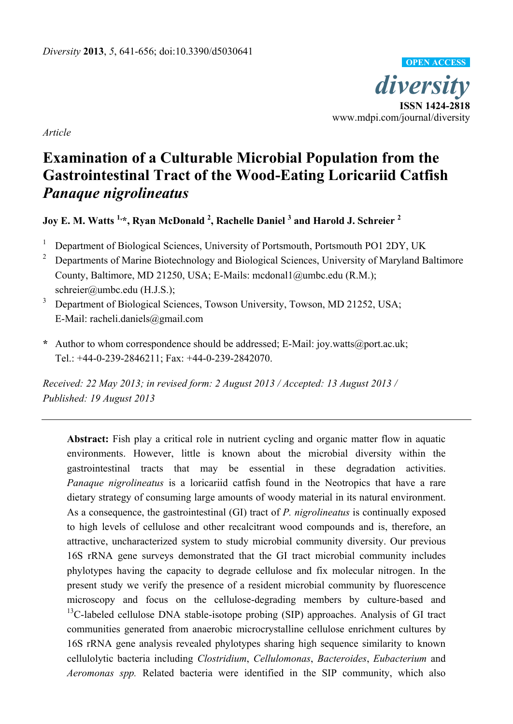

*Article*

# **Examination of a Culturable Microbial Population from the Gastrointestinal Tract of the Wood-Eating Loricariid Catfish**  *Panaque nigrolineatus*

# **Joy E. M. Watts 1, \*, Ryan McDonald <sup>2</sup> , Rachelle Daniel <sup>3</sup> and Harold J. Schreier <sup>2</sup>**

- <sup>1</sup> Department of Biological Sciences, University of Portsmouth, Portsmouth PO1 2DY, UK
- <sup>2</sup> Departments of Marine Biotechnology and Biological Sciences, University of Maryland Baltimore County, Baltimore, MD 21250, USA; E-Mails: mcdonal1@umbc.edu (R.M.); schreier@umbc.edu (H.J.S.);
- <sup>3</sup> Department of Biological Sciences, Towson University, Towson, MD 21252, USA; E-Mail: racheli.daniels@gmail.com
- **\*** Author to whom correspondence should be addressed; E-Mail: joy.watts@port.ac.uk; Tel.: +44-0-239-2846211; Fax: +44-0-239-2842070.

*Received: 22 May 2013; in revised form: 2 August 2013 / Accepted: 13 August 2013 / Published: 19 August 2013*

**Abstract:** Fish play a critical role in nutrient cycling and organic matter flow in aquatic environments. However, little is known about the microbial diversity within the gastrointestinal tracts that may be essential in these degradation activities. *Panaque nigrolineatus* is a loricariid catfish found in the Neotropics that have a rare dietary strategy of consuming large amounts of woody material in its natural environment. As a consequence, the gastrointestinal (GI) tract of *P. nigrolineatus* is continually exposed to high levels of cellulose and other recalcitrant wood compounds and is, therefore, an attractive, uncharacterized system to study microbial community diversity. Our previous 16S rRNA gene surveys demonstrated that the GI tract microbial community includes phylotypes having the capacity to degrade cellulose and fix molecular nitrogen. In the present study we verify the presence of a resident microbial community by fluorescence microscopy and focus on the cellulose-degrading members by culture-based and  $13C$ -labeled cellulose DNA stable-isotope probing (SIP) approaches. Analysis of GI tract communities generated from anaerobic microcrystalline cellulose enrichment cultures by 16S rRNA gene analysis revealed phylotypes sharing high sequence similarity to known cellulolytic bacteria including *Clostridium*, *Cellulomonas*, *Bacteroides*, *Eubacterium* and *Aeromonas spp.* Related bacteria were identified in the SIP community, which also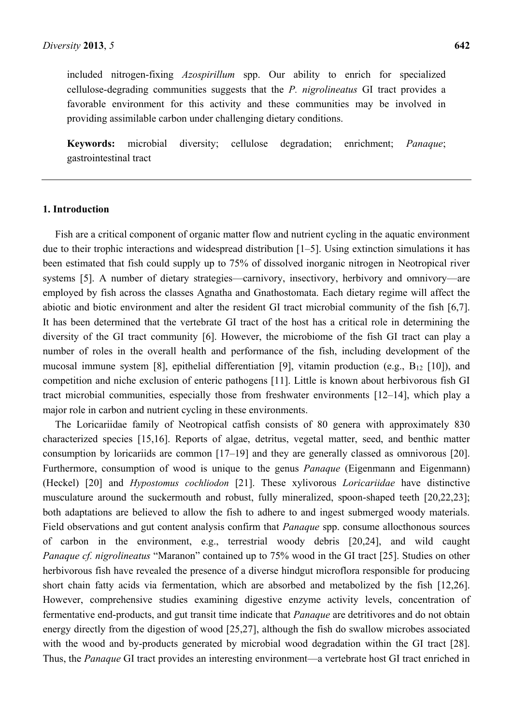included nitrogen-fixing *Azospirillum* spp. Our ability to enrich for specialized cellulose-degrading communities suggests that the *P. nigrolineatus* GI tract provides a favorable environment for this activity and these communities may be involved in providing assimilable carbon under challenging dietary conditions.

**Keywords:** microbial diversity; cellulose degradation; enrichment; *Panaque*; gastrointestinal tract

#### **1. Introduction**

Fish are a critical component of organic matter flow and nutrient cycling in the aquatic environment due to their trophic interactions and widespread distribution [1–5]. Using extinction simulations it has been estimated that fish could supply up to 75% of dissolved inorganic nitrogen in Neotropical river systems [5]. A number of dietary strategies—carnivory, insectivory, herbivory and omnivory—are employed by fish across the classes Agnatha and Gnathostomata. Each dietary regime will affect the abiotic and biotic environment and alter the resident GI tract microbial community of the fish [6,7]. It has been determined that the vertebrate GI tract of the host has a critical role in determining the diversity of the GI tract community [6]. However, the microbiome of the fish GI tract can play a number of roles in the overall health and performance of the fish, including development of the mucosal immune system [8], epithelial differentiation [9], vitamin production (e.g.,  $B_{12}$  [10]), and competition and niche exclusion of enteric pathogens [11]. Little is known about herbivorous fish GI tract microbial communities, especially those from freshwater environments [12–14], which play a major role in carbon and nutrient cycling in these environments.

The Loricariidae family of Neotropical catfish consists of 80 genera with approximately 830 characterized species [15,16]. Reports of algae, detritus, vegetal matter, seed, and benthic matter consumption by loricariids are common [17–19] and they are generally classed as omnivorous [20]. Furthermore, consumption of wood is unique to the genus *Panaque* (Eigenmann and Eigenmann) (Heckel) [20] and *Hypostomus cochliodon* [21]. These xylivorous *Loricariidae* have distinctive musculature around the suckermouth and robust, fully mineralized, spoon-shaped teeth [20,22,23]; both adaptations are believed to allow the fish to adhere to and ingest submerged woody materials. Field observations and gut content analysis confirm that *Panaque* spp. consume allocthonous sources of carbon in the environment, e.g., terrestrial woody debris [20,24], and wild caught *Panaque cf. nigrolineatus* "Maranon" contained up to 75% wood in the GI tract [25]. Studies on other herbivorous fish have revealed the presence of a diverse hindgut microflora responsible for producing short chain fatty acids via fermentation, which are absorbed and metabolized by the fish [12,26]. However, comprehensive studies examining digestive enzyme activity levels, concentration of fermentative end-products, and gut transit time indicate that *Panaque* are detritivores and do not obtain energy directly from the digestion of wood [25,27], although the fish do swallow microbes associated with the wood and by-products generated by microbial wood degradation within the GI tract [28]. Thus, the *Panaque* GI tract provides an interesting environment—a vertebrate host GI tract enriched in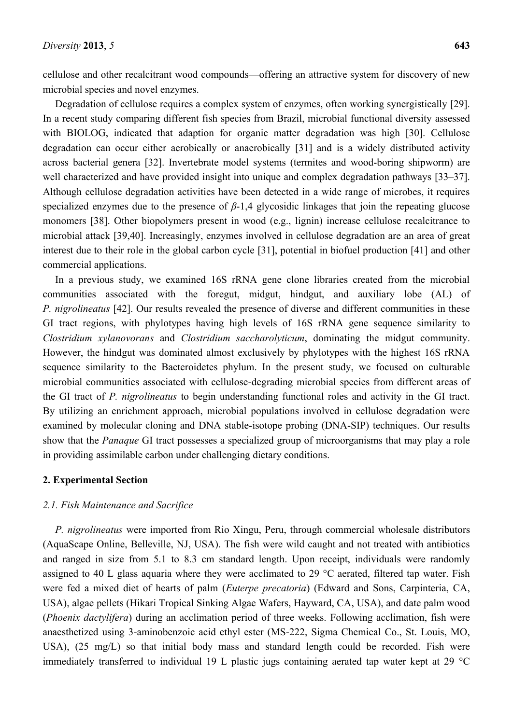cellulose and other recalcitrant wood compounds—offering an attractive system for discovery of new microbial species and novel enzymes.

Degradation of cellulose requires a complex system of enzymes, often working synergistically [29]. In a recent study comparing different fish species from Brazil, microbial functional diversity assessed with BIOLOG, indicated that adaption for organic matter degradation was high [30]. Cellulose degradation can occur either aerobically or anaerobically [31] and is a widely distributed activity across bacterial genera [32]. Invertebrate model systems (termites and wood-boring shipworm) are well characterized and have provided insight into unique and complex degradation pathways [33–37]. Although cellulose degradation activities have been detected in a wide range of microbes, it requires specialized enzymes due to the presence of *β*-1,4 glycosidic linkages that join the repeating glucose monomers [38]. Other biopolymers present in wood (e.g., lignin) increase cellulose recalcitrance to microbial attack [39,40]. Increasingly, enzymes involved in cellulose degradation are an area of great interest due to their role in the global carbon cycle [31], potential in biofuel production [41] and other commercial applications.

In a previous study, we examined 16S rRNA gene clone libraries created from the microbial communities associated with the foregut, midgut, hindgut, and auxiliary lobe (AL) of *P. nigrolineatus* [42]. Our results revealed the presence of diverse and different communities in these GI tract regions, with phylotypes having high levels of 16S rRNA gene sequence similarity to *Clostridium xylanovorans* and *Clostridium saccharolyticum*, dominating the midgut community. However, the hindgut was dominated almost exclusively by phylotypes with the highest 16S rRNA sequence similarity to the Bacteroidetes phylum. In the present study, we focused on culturable microbial communities associated with cellulose-degrading microbial species from different areas of the GI tract of *P. nigrolineatus* to begin understanding functional roles and activity in the GI tract. By utilizing an enrichment approach, microbial populations involved in cellulose degradation were examined by molecular cloning and DNA stable-isotope probing (DNA-SIP) techniques. Our results show that the *Panaque* GI tract possesses a specialized group of microorganisms that may play a role in providing assimilable carbon under challenging dietary conditions.

#### **2. Experimental Section**

#### *2.1. Fish Maintenance and Sacrifice*

*P. nigrolineatus* were imported from Rio Xingu, Peru, through commercial wholesale distributors (AquaScape Online, Belleville, NJ, USA). The fish were wild caught and not treated with antibiotics and ranged in size from 5.1 to 8.3 cm standard length. Upon receipt, individuals were randomly assigned to 40 L glass aquaria where they were acclimated to 29 °C aerated, filtered tap water. Fish were fed a mixed diet of hearts of palm (*Euterpe precatoria*) (Edward and Sons, Carpinteria, CA, USA), algae pellets (Hikari Tropical Sinking Algae Wafers, Hayward, CA, USA), and date palm wood (*Phoenix dactylifera*) during an acclimation period of three weeks. Following acclimation, fish were anaesthetized using 3-aminobenzoic acid ethyl ester (MS-222, Sigma Chemical Co., St. Louis, MO, USA), (25 mg/L) so that initial body mass and standard length could be recorded. Fish were immediately transferred to individual 19 L plastic jugs containing aerated tap water kept at 29 °C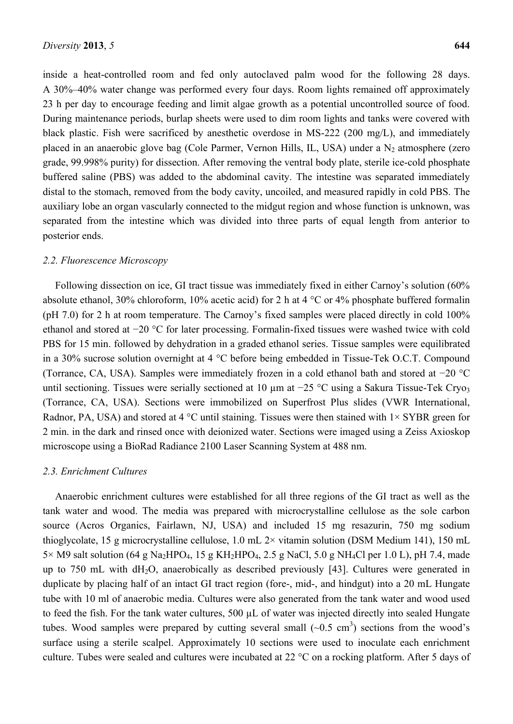inside a heat-controlled room and fed only autoclaved palm wood for the following 28 days. A 30%–40% water change was performed every four days. Room lights remained off approximately 23 h per day to encourage feeding and limit algae growth as a potential uncontrolled source of food. During maintenance periods, burlap sheets were used to dim room lights and tanks were covered with black plastic. Fish were sacrificed by anesthetic overdose in MS-222 (200 mg/L), and immediately placed in an anaerobic glove bag (Cole Parmer, Vernon Hills, IL, USA) under a  $N_2$  atmosphere (zero grade, 99.998% purity) for dissection. After removing the ventral body plate, sterile ice-cold phosphate buffered saline (PBS) was added to the abdominal cavity. The intestine was separated immediately distal to the stomach, removed from the body cavity, uncoiled, and measured rapidly in cold PBS. The auxiliary lobe an organ vascularly connected to the midgut region and whose function is unknown, was separated from the intestine which was divided into three parts of equal length from anterior to posterior ends.

#### *2.2. Fluorescence Microscopy*

Following dissection on ice, GI tract tissue was immediately fixed in either Carnoy's solution (60% absolute ethanol, 30% chloroform, 10% acetic acid) for 2 h at 4 °C or 4% phosphate buffered formalin (pH 7.0) for 2 h at room temperature. The Carnoy's fixed samples were placed directly in cold 100% ethanol and stored at −20 °C for later processing. Formalin-fixed tissues were washed twice with cold PBS for 15 min. followed by dehydration in a graded ethanol series. Tissue samples were equilibrated in a 30% sucrose solution overnight at 4 °C before being embedded in Tissue-Tek O.C.T. Compound (Torrance, CA, USA). Samples were immediately frozen in a cold ethanol bath and stored at −20 °C until sectioning. Tissues were serially sectioned at 10 μm at −25 °C using a Sakura Tissue-Tek Cryo3 (Torrance, CA, USA). Sections were immobilized on Superfrost Plus slides (VWR International, Radnor, PA, USA) and stored at 4  $^{\circ}$ C until staining. Tissues were then stained with 1× SYBR green for 2 min. in the dark and rinsed once with deionized water. Sections were imaged using a Zeiss Axioskop microscope using a BioRad Radiance 2100 Laser Scanning System at 488 nm.

#### *2.3. Enrichment Cultures*

Anaerobic enrichment cultures were established for all three regions of the GI tract as well as the tank water and wood. The media was prepared with microcrystalline cellulose as the sole carbon source (Acros Organics, Fairlawn, NJ, USA) and included 15 mg resazurin, 750 mg sodium thioglycolate, 15 g microcrystalline cellulose, 1.0 mL  $2 \times$  vitamin solution (DSM Medium 141), 150 mL  $5\times$  M9 salt solution (64 g Na<sub>2</sub>HPO<sub>4</sub>, 15 g KH<sub>2</sub>HPO<sub>4</sub>, 2.5 g NaCl, 5.0 g NH<sub>4</sub>Cl per 1.0 L), pH 7.4, made up to 750 mL with dH<sub>2</sub>O, anaerobically as described previously [43]. Cultures were generated in duplicate by placing half of an intact GI tract region (fore-, mid-, and hindgut) into a 20 mL Hungate tube with 10 ml of anaerobic media. Cultures were also generated from the tank water and wood used to feed the fish. For the tank water cultures, 500 µL of water was injected directly into sealed Hungate tubes. Wood samples were prepared by cutting several small  $(\sim 0.5 \text{ cm}^3)$  sections from the wood's surface using a sterile scalpel. Approximately 10 sections were used to inoculate each enrichment culture. Tubes were sealed and cultures were incubated at 22 °C on a rocking platform. After 5 days of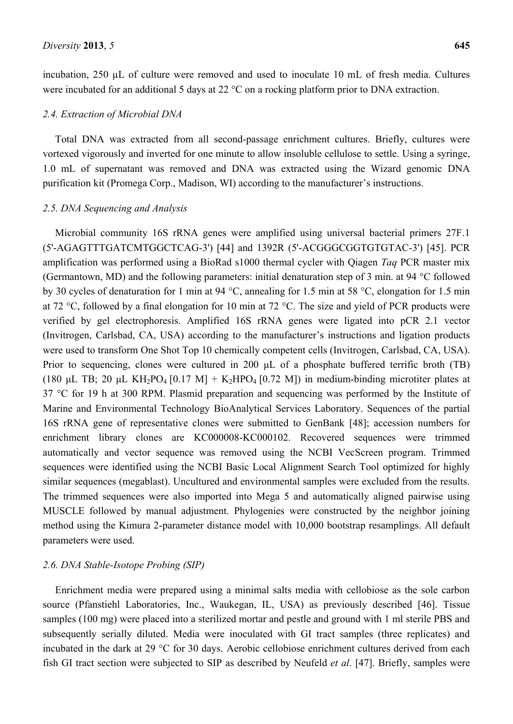incubation, 250 µL of culture were removed and used to inoculate 10 mL of fresh media. Cultures were incubated for an additional 5 days at 22 °C on a rocking platform prior to DNA extraction.

#### *2.4. Extraction of Microbial DNA*

Total DNA was extracted from all second-passage enrichment cultures. Briefly, cultures were vortexed vigorously and inverted for one minute to allow insoluble cellulose to settle. Using a syringe, 1.0 mL of supernatant was removed and DNA was extracted using the Wizard genomic DNA purification kit (Promega Corp., Madison, WI) according to the manufacturer's instructions.

#### *2.5. DNA Sequencing and Analysis*

Microbial community 16S rRNA genes were amplified using universal bacterial primers 27F.1 (5'-AGAGTTTGATCMTGGCTCAG-3') [44] and 1392R (5'-ACGGGCGGTGTGTAC-3') [45]. PCR amplification was performed using a BioRad s1000 thermal cycler with Qiagen *Taq* PCR master mix (Germantown, MD) and the following parameters: initial denaturation step of 3 min. at 94 °C followed by 30 cycles of denaturation for 1 min at 94 °C, annealing for 1.5 min at 58 °C, elongation for 1.5 min at 72 °C, followed by a final elongation for 10 min at 72 °C. The size and yield of PCR products were verified by gel electrophoresis. Amplified 16S rRNA genes were ligated into pCR 2.1 vector (Invitrogen, Carlsbad, CA, USA) according to the manufacturer's instructions and ligation products were used to transform One Shot Top 10 chemically competent cells (Invitrogen, Carlsbad, CA, USA). Prior to sequencing, clones were cultured in 200 μL of a phosphate buffered terrific broth (TB) (180 μL TB; 20 μL KH<sub>2</sub>PO<sub>4</sub> [0.17 M] + K<sub>2</sub>HPO<sub>4</sub> [0.72 M]) in medium-binding microtiter plates at 37 °C for 19 h at 300 RPM. Plasmid preparation and sequencing was performed by the Institute of Marine and Environmental Technology BioAnalytical Services Laboratory. Sequences of the partial 16S rRNA gene of representative clones were submitted to GenBank [48]; accession numbers for enrichment library clones are KC000008-KC000102. Recovered sequences were trimmed automatically and vector sequence was removed using the NCBI VecScreen program. Trimmed sequences were identified using the NCBI Basic Local Alignment Search Tool optimized for highly similar sequences (megablast). Uncultured and environmental samples were excluded from the results. The trimmed sequences were also imported into Mega 5 and automatically aligned pairwise using MUSCLE followed by manual adjustment. Phylogenies were constructed by the neighbor joining method using the Kimura 2-parameter distance model with 10,000 bootstrap resamplings. All default parameters were used.

#### *2.6. DNA Stable-Isotope Probing (SIP)*

Enrichment media were prepared using a minimal salts media with cellobiose as the sole carbon source (Pfanstiehl Laboratories, Inc., Waukegan, IL, USA) as previously described [46]. Tissue samples (100 mg) were placed into a sterilized mortar and pestle and ground with 1 ml sterile PBS and subsequently serially diluted. Media were inoculated with GI tract samples (three replicates) and incubated in the dark at 29 °C for 30 days. Aerobic cellobiose enrichment cultures derived from each fish GI tract section were subjected to SIP as described by Neufeld *et al*. [47]. Briefly, samples were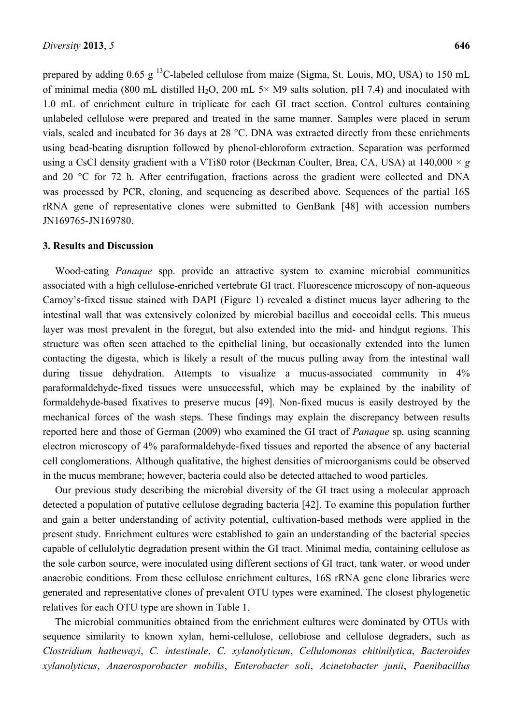prepared by adding  $0.65$  g <sup>13</sup>C-labeled cellulose from maize (Sigma, St. Louis, MO, USA) to 150 mL of minimal media (800 mL distilled H<sub>2</sub>O, 200 mL  $5\times$  M9 salts solution, pH 7.4) and inoculated with 1.0 mL of enrichment culture in triplicate for each GI tract section. Control cultures containing unlabeled cellulose were prepared and treated in the same manner. Samples were placed in serum vials, sealed and incubated for 36 days at 28 °C. DNA was extracted directly from these enrichments using bead-beating disruption followed by phenol-chloroform extraction. Separation was performed using a CsCl density gradient with a VTi80 rotor (Beckman Coulter, Brea, CA, USA) at 140,000 ×*g* and 20 °C for 72 h. After centrifugation, fractions across the gradient were collected and DNA was processed by PCR, cloning, and sequencing as described above. Sequences of the partial 16S rRNA gene of representative clones were submitted to GenBank [48] with accession numbers JN169765-JN169780.

#### **3. Results and Discussion**

Wood-eating *Panaque* spp. provide an attractive system to examine microbial communities associated with a high cellulose-enriched vertebrate GI tract. Fluorescence microscopy of non-aqueous Carnoy's-fixed tissue stained with DAPI (Figure 1) revealed a distinct mucus layer adhering to the intestinal wall that was extensively colonized by microbial bacillus and coccoidal cells. This mucus layer was most prevalent in the foregut, but also extended into the mid- and hindgut regions. This structure was often seen attached to the epithelial lining, but occasionally extended into the lumen contacting the digesta, which is likely a result of the mucus pulling away from the intestinal wall during tissue dehydration. Attempts to visualize a mucus-associated community in  $4\%$ paraformaldehyde-fixed tissues were unsuccessful, which may be explained by the inability of formaldehyde-based fixatives to preserve mucus [49]. Non-fixed mucus is easily destroyed by the mechanical forces of the wash steps. These findings may explain the discrepancy between results reported here and those of German (2009) who examined the GI tract of *Panaque* sp. using scanning electron microscopy of 4% paraformaldehyde-fixed tissues and reported the absence of any bacterial cell conglomerations. Although qualitative, the highest densities of microorganisms could be observed in the mucus membrane; however, bacteria could also be detected attached to wood particles.

Our previous study describing the microbial diversity of the GI tract using a molecular approach detected a population of putative cellulose degrading bacteria [42]. To examine this population further and gain a better understanding of activity potential, cultivation-based methods were applied in the present study. Enrichment cultures were established to gain an understanding of the bacterial species capable of cellulolytic degradation present within the GI tract. Minimal media, containing cellulose as the sole carbon source, were inoculated using different sections of GI tract, tank water, or wood under anaerobic conditions. From these cellulose enrichment cultures, 16S rRNA gene clone libraries were generated and representative clones of prevalent OTU types were examined. The closest phylogenetic relatives for each OTU type are shown in Table 1.

The microbial communities obtained from the enrichment cultures were dominated by OTUs with sequence similarity to known xylan, hemi-cellulose, cellobiose and cellulose degraders, such as *Clostridium hathewayi*, *C. intestinale*, *C. xylanolyticum*, *Cellulomonas chitinilytica*, *Bacteroides xylanolyticus*, *Anaerosporobacter mobilis*, *Enterobacter soli*, *Acinetobacter junii*, *Paenibacillus*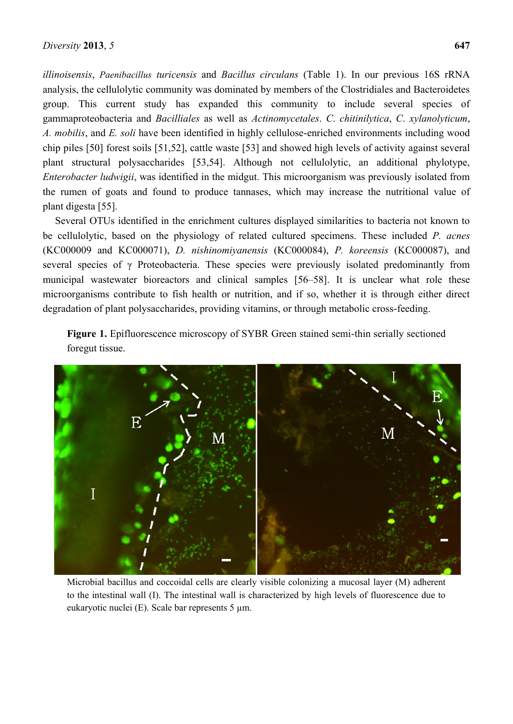*illinoisensis*, *Paenibacillus turicensis* and *Bacillus circulans* (Table 1). In our previous 16S rRNA analysis, the cellulolytic community was dominated by members of the Clostridiales and Bacteroidetes group. This current study has expanded this community to include several species of gammaproteobacteria and *Bacilliales* as well as *Actinomycetales*. *C*. *chitinilytica*, *C*. *xylanolyticum*, *A. mobilis*, and *E. soli* have been identified in highly cellulose-enriched environments including wood chip piles [50] forest soils [51,52], cattle waste [53] and showed high levels of activity against several plant structural polysaccharides [53,54]. Although not cellulolytic, an additional phylotype,

*Enterobacter ludwigii*, was identified in the midgut. This microorganism was previously isolated from the rumen of goats and found to produce tannases, which may increase the nutritional value of plant digesta [55].

Several OTUs identified in the enrichment cultures displayed similarities to bacteria not known to be cellulolytic, based on the physiology of related cultured specimens. These included *P. acnes*  (KC000009 and KC000071), *D. nishinomiyanensis* (KC000084), *P. koreensis* (KC000087), and several species of γ Proteobacteria. These species were previously isolated predominantly from municipal wastewater bioreactors and clinical samples [56–58]. It is unclear what role these microorganisms contribute to fish health or nutrition, and if so, whether it is through either direct degradation of plant polysaccharides, providing vitamins, or through metabolic cross-feeding.

**Figure 1.** Epifluorescence microscopy of SYBR Green stained semi-thin serially sectioned foregut tissue.



Microbial bacillus and coccoidal cells are clearly visible colonizing a mucosal layer (M) adherent to the intestinal wall (I). The intestinal wall is characterized by high levels of fluorescence due to eukaryotic nuclei (E). Scale bar represents 5 µm.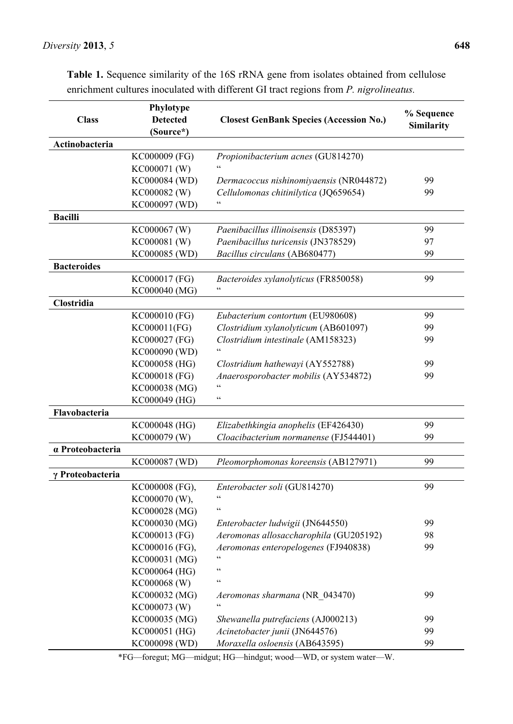|                    | Phylotype       |                                                |            |
|--------------------|-----------------|------------------------------------------------|------------|
| <b>Class</b>       | <b>Detected</b> | <b>Closest GenBank Species (Accession No.)</b> | % Sequence |
|                    | (Source*)       |                                                | Similarity |
| Actinobacteria     |                 |                                                |            |
|                    | KC000009 (FG)   | Propionibacterium acnes (GU814270)             |            |
|                    | KC000071 (W)    |                                                |            |
|                    | KC000084 (WD)   | Dermacoccus nishinomiyaensis (NR044872)        | 99         |
|                    | KC000082 (W)    | Cellulomonas chitinilytica (JQ659654)          | 99         |
|                    | KC000097 (WD)   | $\epsilon$                                     |            |
| <b>Bacilli</b>     |                 |                                                |            |
|                    | KC000067 (W)    | Paenibacillus illinoisensis (D85397)           | 99         |
|                    | KC000081 (W)    | Paenibacillus turicensis (JN378529)            | 97         |
|                    | KC000085 (WD)   | Bacillus circulans (AB680477)                  | 99         |
| <b>Bacteroides</b> |                 |                                                |            |
|                    | KC000017 (FG)   | Bacteroides xylanolyticus (FR850058)           | 99         |
|                    | KC000040 (MG)   | $\epsilon$                                     |            |
| Clostridia         |                 |                                                |            |
|                    | KC000010 (FG)   | Eubacterium contortum (EU980608)               | 99         |
|                    | KC000011(FG)    | Clostridium xylanolyticum (AB601097)           | 99         |
|                    | KC000027 (FG)   | Clostridium intestinale (AM158323)             | 99         |
|                    | KC000090 (WD)   | $\epsilon$                                     |            |
|                    | KC000058 (HG)   | Clostridium hathewayi (AY552788)               | 99         |
|                    | KC000018 (FG)   | Anaerosporobacter mobilis (AY534872)           | 99         |
|                    | KC000038 (MG)   | $\zeta$ $\zeta$                                |            |
|                    | KC000049 (HG)   | $\zeta$ $\zeta$                                |            |
| Flavobacteria      |                 |                                                |            |
|                    | KC000048 (HG)   | Elizabethkingia anophelis (EF426430)           | 99         |
|                    | KC000079 (W)    | Cloacibacterium normanense (FJ544401)          | 99         |
| a Proteobacteria   |                 |                                                |            |
|                    | KC000087 (WD)   | Pleomorphomonas koreensis (AB127971)           | 99         |
| γ Proteobacteria   |                 |                                                |            |
|                    | KC000008 (FG),  | Enterobacter soli (GU814270)                   | 99         |
|                    | KC000070 (W),   |                                                |            |
|                    | KC000028 (MG)   | $\zeta$ $\zeta$                                |            |
|                    | KC000030 (MG)   | Enterobacter ludwigii (JN644550)               | 99         |
|                    | KC000013 (FG)   | Aeromonas allosaccharophila (GU205192)         | 98         |
|                    | KC000016 (FG),  | Aeromonas enteropelogenes (FJ940838)           | 99         |
|                    | KC000031 (MG)   | $\zeta$ $\zeta$                                |            |
|                    | KC000064 (HG)   | $\zeta$ $\zeta$                                |            |
|                    | KC000068 (W)    | $\zeta$ $\zeta$                                |            |
|                    | KC000032 (MG)   | Aeromonas sharmana (NR 043470)                 | 99         |
|                    | KC000073 (W)    |                                                |            |
|                    | KC000035 (MG)   | Shewanella putrefaciens (AJ000213)             | 99         |
|                    | KC000051 (HG)   | Acinetobacter junii (JN644576)                 | 99         |
|                    | KC000098 (WD)   | Moraxella osloensis (AB643595)                 | 99         |

**Table 1.** Sequence similarity of the 16S rRNA gene from isolates obtained from cellulose enrichment cultures inoculated with different GI tract regions from *P. nigrolineatus.*

\*FG—foregut; MG—midgut; HG—hindgut; wood—WD, or system water—W.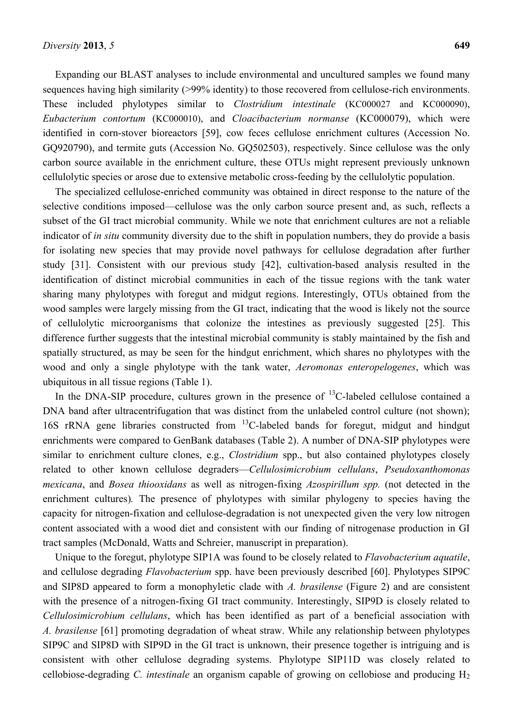Expanding our BLAST analyses to include environmental and uncultured samples we found many sequences having high similarity (>99% identity) to those recovered from cellulose-rich environments. These included phylotypes similar to *Clostridium intestinale* (KC000027 and KC000090), *Eubacterium contortum* (KC000010), and *Cloacibacterium normanse* (KC000079), which were identified in corn-stover bioreactors [59], cow feces cellulose enrichment cultures (Accession No. GQ920790), and termite guts (Accession No. GQ502503), respectively. Since cellulose was the only carbon source available in the enrichment culture, these OTUs might represent previously unknown cellulolytic species or arose due to extensive metabolic cross-feeding by the cellulolytic population.

The specialized cellulose-enriched community was obtained in direct response to the nature of the selective conditions imposed—cellulose was the only carbon source present and, as such, reflects a subset of the GI tract microbial community. While we note that enrichment cultures are not a reliable indicator of *in situ* community diversity due to the shift in population numbers, they do provide a basis for isolating new species that may provide novel pathways for cellulose degradation after further study [31]. Consistent with our previous study [42], cultivation-based analysis resulted in the identification of distinct microbial communities in each of the tissue regions with the tank water sharing many phylotypes with foregut and midgut regions. Interestingly, OTUs obtained from the wood samples were largely missing from the GI tract, indicating that the wood is likely not the source of cellulolytic microorganisms that colonize the intestines as previously suggested [25]. This difference further suggests that the intestinal microbial community is stably maintained by the fish and spatially structured, as may be seen for the hindgut enrichment, which shares no phylotypes with the wood and only a single phylotype with the tank water, *Aeromonas enteropelogenes*, which was ubiquitous in all tissue regions (Table 1).

In the DNA-SIP procedure, cultures grown in the presence of  $^{13}$ C-labeled cellulose contained a DNA band after ultracentrifugation that was distinct from the unlabeled control culture (not shown); 16S rRNA gene libraries constructed from <sup>13</sup>C-labeled bands for foregut, midgut and hindgut enrichments were compared to GenBank databases (Table 2). A number of DNA-SIP phylotypes were similar to enrichment culture clones, e.g., *Clostridium* spp., but also contained phylotypes closely related to other known cellulose degraders—*Cellulosimicrobium cellulans*, *Pseudoxanthomonas mexicana*, and *Bosea thiooxidans* as well as nitrogen-fixing *Azospirillum spp.* (not detected in the enrichment cultures)*.* The presence of phylotypes with similar phylogeny to species having the capacity for nitrogen-fixation and cellulose-degradation is not unexpected given the very low nitrogen content associated with a wood diet and consistent with our finding of nitrogenase production in GI tract samples (McDonald, Watts and Schreier, manuscript in preparation).

Unique to the foregut, phylotype SIP1A was found to be closely related to *Flavobacterium aquatile*, and cellulose degrading *Flavobacterium* spp. have been previously described [60]. Phylotypes SIP9C and SIP8D appeared to form a monophyletic clade with *A. brasilense* (Figure 2) and are consistent with the presence of a nitrogen-fixing GI tract community. Interestingly, SIP9D is closely related to *Cellulosimicrobium cellulans*, which has been identified as part of a beneficial association with *A. brasilense* [61] promoting degradation of wheat straw. While any relationship between phylotypes SIP9C and SIP8D with SIP9D in the GI tract is unknown, their presence together is intriguing and is consistent with other cellulose degrading systems. Phylotype SIP11D was closely related to cellobiose-degrading *C. intestinale* an organism capable of growing on cellobiose and producing H<sub>2</sub>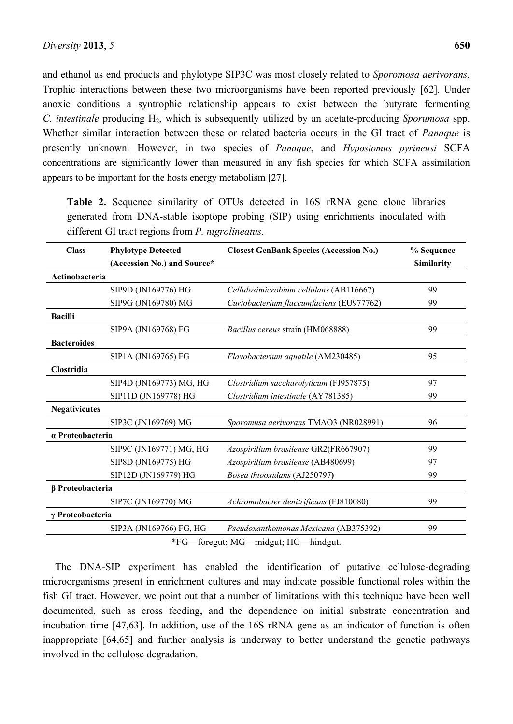Trophic interactions between these two microorganisms have been reported previously [62]. Under anoxic conditions a syntrophic relationship appears to exist between the butyrate fermenting *C. intestinale* producing H2, which is subsequently utilized by an acetate-producing *Sporumosa* spp. Whether similar interaction between these or related bacteria occurs in the GI tract of *Panaque* is presently unknown. However, in two species of *Panaque*, and *Hypostomus pyrineusi* SCFA concentrations are significantly lower than measured in any fish species for which SCFA assimilation appears to be important for the hosts energy metabolism [27].

**Table 2.** Sequence similarity of OTUs detected in 16S rRNA gene clone libraries generated from DNA-stable isoptope probing (SIP) using enrichments inoculated with different GI tract regions from *P. nigrolineatus.*

| <b>Class</b>                 | <b>Phylotype Detected</b>   | <b>Closest GenBank Species (Accession No.)</b> | % Sequence |  |
|------------------------------|-----------------------------|------------------------------------------------|------------|--|
|                              | (Accession No.) and Source* |                                                | Similarity |  |
| Actinobacteria               |                             |                                                |            |  |
|                              | SIP9D (JN169776) HG         | Cellulosimicrobium cellulans (AB116667)        | 99         |  |
|                              | SIP9G (JN169780) MG         | Curtobacterium flaccumfaciens (EU977762)       | 99         |  |
| <b>Bacilli</b>               |                             |                                                |            |  |
|                              | SIP9A (JN169768) FG         | Bacillus cereus strain (HM068888)              | 99         |  |
| <b>Bacteroides</b>           |                             |                                                |            |  |
|                              | SIP1A (JN169765) FG         | Flavobacterium aquatile (AM230485)             | 95         |  |
| Clostridia                   |                             |                                                |            |  |
|                              | SIP4D (JN169773) MG, HG     | Clostridium saccharolyticum (FJ957875)         | 97         |  |
|                              | SIP11D (JN169778) HG        | Clostridium intestinale (AY781385)             | 99         |  |
| <b>Negativicutes</b>         |                             |                                                |            |  |
|                              | SIP3C (JN169769) MG         | Sporomusa aerivorans TMAO3 (NR028991)          | 96         |  |
| a Proteobacteria             |                             |                                                |            |  |
|                              | SIP9C (JN169771) MG, HG     | Azospirillum brasilense GR2(FR667907)          | 99         |  |
|                              | SIP8D (JN169775) HG         | Azospirillum brasilense (AB480699)             | 97         |  |
|                              | SIP12D (JN169779) HG        | Bosea thiooxidans (AJ250797)                   | 99         |  |
| β Proteobacteria             |                             |                                                |            |  |
|                              | SIP7C (JN169770) MG         | Achromobacter denitrificans (FJ810080)         | 99         |  |
| γ Proteobacteria             |                             |                                                |            |  |
|                              | SIP3A (JN169766) FG, HG     | Pseudoxanthomonas Mexicana (AB375392)          | 99         |  |
| $\cdots$<br>$*_{\Gamma}\cap$ |                             |                                                |            |  |

\*FG—foregut; MG—midgut; HG—hindgut.

The DNA-SIP experiment has enabled the identification of putative cellulose-degrading microorganisms present in enrichment cultures and may indicate possible functional roles within the fish GI tract. However, we point out that a number of limitations with this technique have been well documented, such as cross feeding, and the dependence on initial substrate concentration and incubation time [47,63]. In addition, use of the 16S rRNA gene as an indicator of function is often inappropriate [64,65] and further analysis is underway to better understand the genetic pathways involved in the cellulose degradation.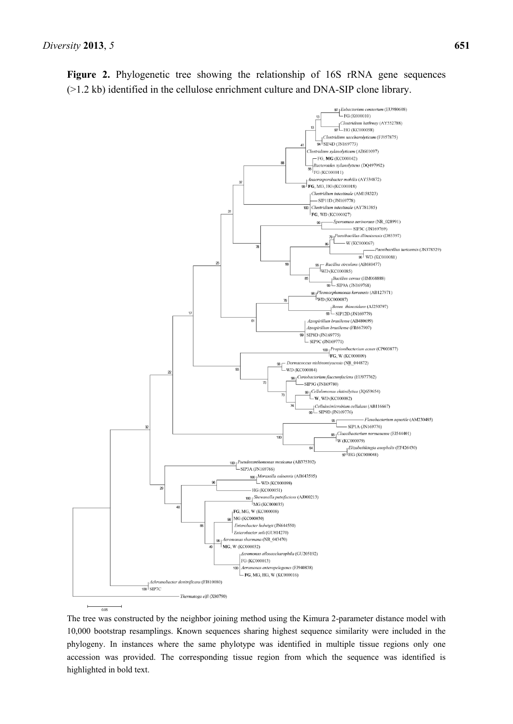

The tree was constructed by the neighbor joining method using the Kimura 2-parameter distance model with 10,000 bootstrap resamplings. Known sequences sharing highest sequence similarity were included in the phylogeny. In instances where the same phylotype was identified in multiple tissue regions only one accession was provided. The corresponding tissue region from which the sequence was identified is highlighted in bold text.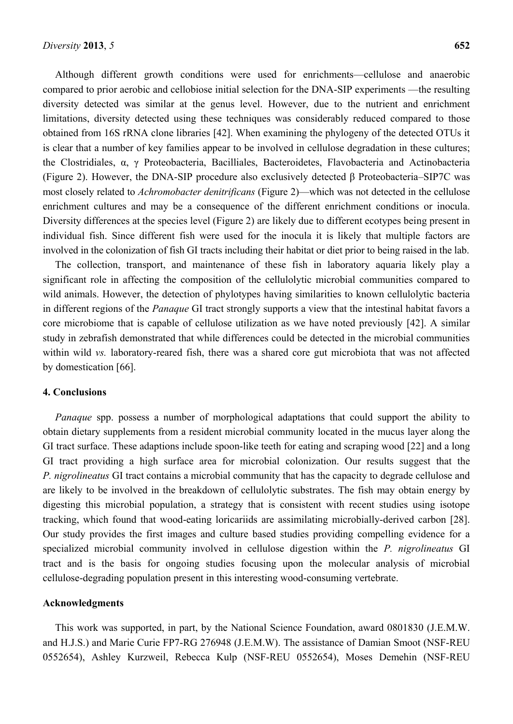Although different growth conditions were used for enrichments—cellulose and anaerobic compared to prior aerobic and cellobiose initial selection for the DNA-SIP experiments —the resulting diversity detected was similar at the genus level. However, due to the nutrient and enrichment limitations, diversity detected using these techniques was considerably reduced compared to those obtained from 16S rRNA clone libraries [42]. When examining the phylogeny of the detected OTUs it is clear that a number of key families appear to be involved in cellulose degradation in these cultures; the Clostridiales, α, γ Proteobacteria, Bacilliales, Bacteroidetes, Flavobacteria and Actinobacteria (Figure 2). However, the DNA-SIP procedure also exclusively detected β Proteobacteria–SIP7C was most closely related to *Achromobacter denitrificans* (Figure 2)—which was not detected in the cellulose enrichment cultures and may be a consequence of the different enrichment conditions or inocula. Diversity differences at the species level (Figure 2) are likely due to different ecotypes being present in individual fish. Since different fish were used for the inocula it is likely that multiple factors are involved in the colonization of fish GI tracts including their habitat or diet prior to being raised in the lab.

The collection, transport, and maintenance of these fish in laboratory aquaria likely play a significant role in affecting the composition of the cellulolytic microbial communities compared to wild animals. However, the detection of phylotypes having similarities to known cellulolytic bacteria in different regions of the *Panaque* GI tract strongly supports a view that the intestinal habitat favors a core microbiome that is capable of cellulose utilization as we have noted previously [42]. A similar study in zebrafish demonstrated that while differences could be detected in the microbial communities within wild *vs.* laboratory-reared fish, there was a shared core gut microbiota that was not affected by domestication [66].

#### **4. Conclusions**

*Panaque* spp. possess a number of morphological adaptations that could support the ability to obtain dietary supplements from a resident microbial community located in the mucus layer along the GI tract surface. These adaptions include spoon-like teeth for eating and scraping wood [22] and a long GI tract providing a high surface area for microbial colonization. Our results suggest that the *P. nigrolineatus* GI tract contains a microbial community that has the capacity to degrade cellulose and are likely to be involved in the breakdown of cellulolytic substrates. The fish may obtain energy by digesting this microbial population, a strategy that is consistent with recent studies using isotope tracking, which found that wood-eating loricariids are assimilating microbially-derived carbon [28]. Our study provides the first images and culture based studies providing compelling evidence for a specialized microbial community involved in cellulose digestion within the *P. nigrolineatus* GI tract and is the basis for ongoing studies focusing upon the molecular analysis of microbial cellulose-degrading population present in this interesting wood-consuming vertebrate.

#### **Acknowledgments**

This work was supported, in part, by the National Science Foundation, award 0801830 (J.E.M.W. and H.J.S.) and Marie Curie FP7-RG 276948 (J.E.M.W). The assistance of Damian Smoot (NSF-REU 0552654), Ashley Kurzweil, Rebecca Kulp (NSF-REU 0552654), Moses Demehin (NSF-REU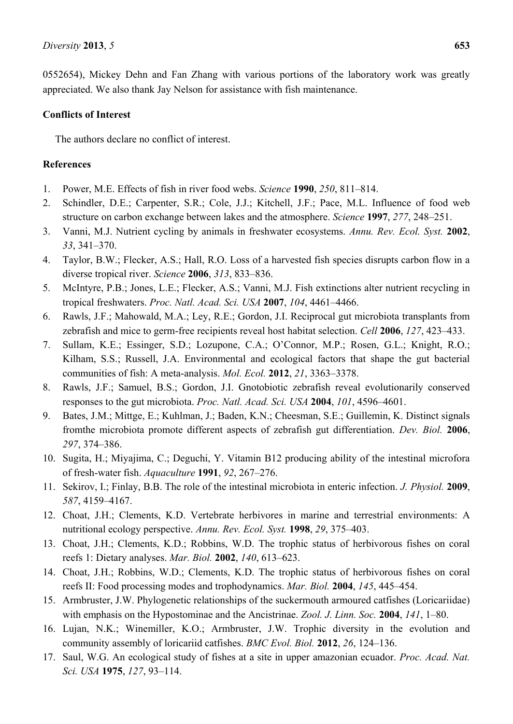0552654), Mickey Dehn and Fan Zhang with various portions of the laboratory work was greatly appreciated. We also thank Jay Nelson for assistance with fish maintenance.

### **Conflicts of Interest**

The authors declare no conflict of interest.

## **References**

- 1. Power, M.E. Effects of fish in river food webs. *Science* **1990**, *250*, 811–814.
- 2. Schindler, D.E.; Carpenter, S.R.; Cole, J.J.; Kitchell, J.F.; Pace, M.L. Influence of food web structure on carbon exchange between lakes and the atmosphere. *Science* **1997**, *277*, 248–251.
- 3. Vanni, M.J. Nutrient cycling by animals in freshwater ecosystems. *Annu. Rev. Ecol. Syst.* **2002**, *33*, 341–370.
- 4. Taylor, B.W.; Flecker, A.S.; Hall, R.O. Loss of a harvested fish species disrupts carbon flow in a diverse tropical river. *Science* **2006**, *313*, 833–836.
- 5. McIntyre, P.B.; Jones, L.E.; Flecker, A.S.; Vanni, M.J. Fish extinctions alter nutrient recycling in tropical freshwaters. *Proc. Natl. Acad. Sci. USA* **2007**, *104*, 4461–4466.
- 6. Rawls, J.F.; Mahowald, M.A.; Ley, R.E.; Gordon, J.I. Reciprocal gut microbiota transplants from zebrafish and mice to germ-free recipients reveal host habitat selection. *Cell* **2006**, *127*, 423–433.
- 7. Sullam, K.E.; Essinger, S.D.; Lozupone, C.A.; O'Connor, M.P.; Rosen, G.L.; Knight, R.O.; Kilham, S.S.; Russell, J.A. Environmental and ecological factors that shape the gut bacterial communities of fish: A meta-analysis. *Mol. Ecol.* **2012**, *21*, 3363–3378.
- 8. Rawls, J.F.; Samuel, B.S.; Gordon, J.I. Gnotobiotic zebrafish reveal evolutionarily conserved responses to the gut microbiota. *Proc. Natl. Acad. Sci. USA* **2004**, *101*, 4596–4601.
- 9. Bates, J.M.; Mittge, E.; Kuhlman, J.; Baden, K.N.; Cheesman, S.E.; Guillemin, K. Distinct signals fromthe microbiota promote different aspects of zebrafish gut differentiation. *Dev. Biol.* **2006**, *297*, 374–386.
- 10. Sugita, H.; Miyajima, C.; Deguchi, Y. Vitamin B12 producing ability of the intestinal microfora of fresh-water fish. *Aquaculture* **1991**, *92*, 267–276.
- 11. Sekirov, I.; Finlay, B.B. The role of the intestinal microbiota in enteric infection. *J. Physiol.* **2009**, *587*, 4159–4167.
- 12. Choat, J.H.; Clements, K.D. Vertebrate herbivores in marine and terrestrial environments: A nutritional ecology perspective. *Annu. Rev. Ecol. Syst.* **1998**, *29*, 375–403.
- 13. Choat, J.H.; Clements, K.D.; Robbins, W.D. The trophic status of herbivorous fishes on coral reefs 1: Dietary analyses. *Mar. Biol.* **2002**, *140*, 613–623.
- 14. Choat, J.H.; Robbins, W.D.; Clements, K.D. The trophic status of herbivorous fishes on coral reefs II: Food processing modes and trophodynamics. *Mar. Biol.* **2004**, *145*, 445–454.
- 15. Armbruster, J.W. Phylogenetic relationships of the suckermouth armoured catfishes (Loricariidae) with emphasis on the Hypostominae and the Ancistrinae. *Zool. J. Linn. Soc.* **2004**, *141*, 1–80.
- 16. Lujan, N.K.; Winemiller, K.O.; Armbruster, J.W. Trophic diversity in the evolution and community assembly of loricariid catfishes. *BMC Evol. Biol.* **2012**, *26*, 124–136.
- 17. Saul, W.G. An ecological study of fishes at a site in upper amazonian ecuador. *Proc. Acad. Nat. Sci. USA* **1975**, *127*, 93–114.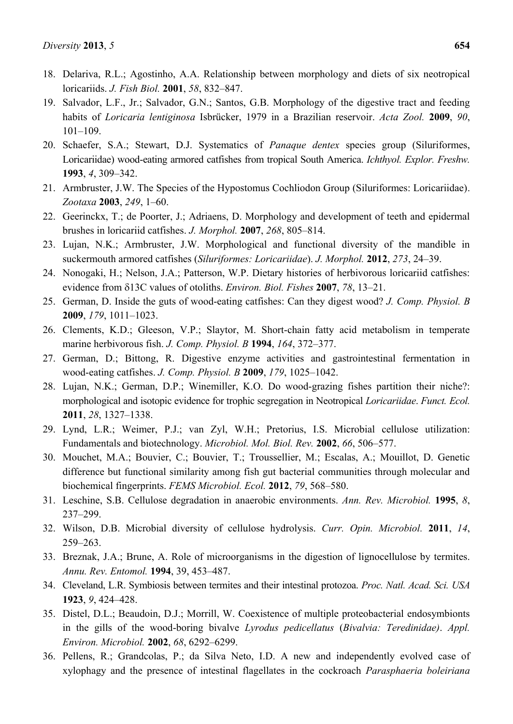- 19. Salvador, L.F., Jr.; Salvador, G.N.; Santos, G.B. Morphology of the digestive tract and feeding habits of *Loricaria lentiginosa* Isbrücker, 1979 in a Brazilian reservoir. *Acta Zool.* **2009**, *90*, 101–109.
- 20. Schaefer, S.A.; Stewart, D.J. Systematics of *Panaque dentex* species group (Siluriformes, Loricariidae) wood-eating armored catfishes from tropical South America. *Ichthyol. Explor. Freshw.* **1993**, *4*, 309–342.
- 21. Armbruster, J.W. The Species of the Hypostomus Cochliodon Group (Siluriformes: Loricariidae). *Zootaxa* **2003**, *249*, 1–60.
- 22. Geerinckx, T.; de Poorter, J.; Adriaens, D. Morphology and development of teeth and epidermal brushes in loricariid catfishes. *J. Morphol.* **2007**, *268*, 805–814.
- 23. Lujan, N.K.; Armbruster, J.W. Morphological and functional diversity of the mandible in suckermouth armored catfishes (*Siluriformes: Loricariidae*). *J. Morphol.* **2012**, *273*, 24–39.
- 24. Nonogaki, H.; Nelson, J.A.; Patterson, W.P. Dietary histories of herbivorous loricariid catfishes: evidence from 13C values of otoliths. *Environ. Biol. Fishes* **2007**, *78*, 13–21.
- 25. German, D. Inside the guts of wood-eating catfishes: Can they digest wood? *J. Comp. Physiol. B*  **2009**, *179*, 1011–1023.
- 26. Clements, K.D.; Gleeson, V.P.; Slaytor, M. Short-chain fatty acid metabolism in temperate marine herbivorous fish. *J. Comp. Physiol. B* **1994**, *164*, 372–377.
- 27. German, D.; Bittong, R. Digestive enzyme activities and gastrointestinal fermentation in wood-eating catfishes. *J. Comp. Physiol. B* **2009**, *179*, 1025–1042.
- 28. Lujan, N.K.; German, D.P.; Winemiller, K.O. Do wood-grazing fishes partition their niche?: morphological and isotopic evidence for trophic segregation in Neotropical *Loricariidae*. *Funct. Ecol.* **2011**, *28*, 1327–1338.
- 29. Lynd, L.R.; Weimer, P.J.; van Zyl, W.H.; Pretorius, I.S. Microbial cellulose utilization: Fundamentals and biotechnology. *Microbiol. Mol. Biol. Rev.* **2002**, *66*, 506–577.
- 30. Mouchet, M.A.; Bouvier, C.; Bouvier, T.; Troussellier, M.; Escalas, A.; Mouillot, D. Genetic difference but functional similarity among fish gut bacterial communities through molecular and biochemical fingerprints. *FEMS Microbiol. Ecol.* **2012**, *79*, 568–580.
- 31. Leschine, S.B. Cellulose degradation in anaerobic environments. *Ann. Rev. Microbiol.* **1995**, *8*, 237–299.
- 32. Wilson, D.B. Microbial diversity of cellulose hydrolysis. *Curr. Opin. Microbiol.* **2011**, *14*, 259–263.
- 33. Breznak, J.A.; Brune, A. Role of microorganisms in the digestion of lignocellulose by termites. *Annu. Rev. Entomol.* **1994**, 39, 453–487.
- 34. Cleveland, L.R. Symbiosis between termites and their intestinal protozoa. *Proc. Natl. Acad. Sci. USA* **1923**, *9*, 424–428.
- 35. Distel, D.L.; Beaudoin, D.J.; Morrill, W. Coexistence of multiple proteobacterial endosymbionts in the gills of the wood-boring bivalve *Lyrodus pedicellatus* (*Bivalvia: Teredinidae)*. *Appl. Environ. Microbiol.* **2002**, *68*, 6292–6299.
- 36. Pellens, R.; Grandcolas, P.; da Silva Neto, I.D. A new and independently evolved case of xylophagy and the presence of intestinal flagellates in the cockroach *Parasphaeria boleiriana*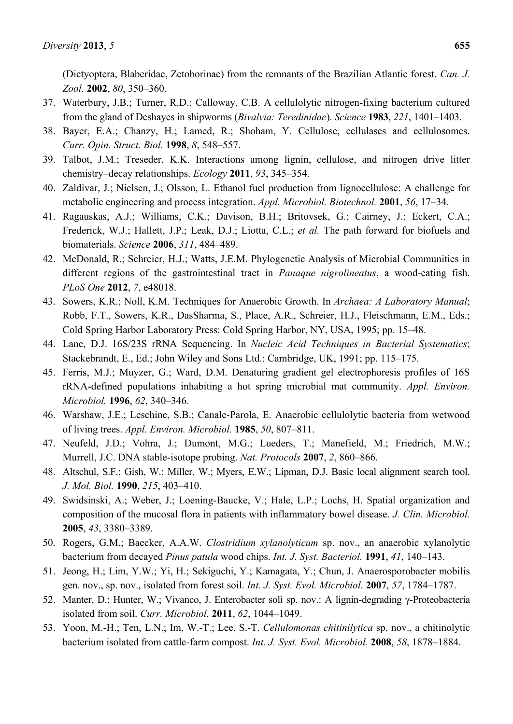(Dictyoptera, Blaberidae, Zetoborinae) from the remnants of the Brazilian Atlantic forest. *Can. J. Zool.* **2002**, *80*, 350–360.

- 37. Waterbury, J.B.; Turner, R.D.; Calloway, C.B. A cellulolytic nitrogen-fixing bacterium cultured from the gland of Deshayes in shipworms (*Bivalvia: Teredinidae*). *Science* **1983**, *221*, 1401–1403.
- 38. Bayer, E.A.; Chanzy, H.; Lamed, R.; Shoham, Y. Cellulose, cellulases and cellulosomes. *Curr. Opin. Struct. Biol.* **1998**, *8*, 548–557.
- 39. Talbot, J.M.; Treseder, K.K. Interactions among lignin, cellulose, and nitrogen drive litter chemistry–decay relationships. *Ecology* **2011**, *93*, 345–354.
- 40. Zaldivar, J.; Nielsen, J.; Olsson, L. Ethanol fuel production from lignocellulose: A challenge for metabolic engineering and process integration. *Appl. Microbiol. Biotechnol.* **2001**, *56*, 17–34.
- 41. Ragauskas, A.J.; Williams, C.K.; Davison, B.H.; Britovsek, G.; Cairney, J.; Eckert, C.A.; Frederick, W.J.; Hallett, J.P.; Leak, D.J.; Liotta, C.L.; *et al.* The path forward for biofuels and biomaterials. *Science* **2006**, *311*, 484–489.
- 42. McDonald, R.; Schreier, H.J.; Watts, J.E.M. Phylogenetic Analysis of Microbial Communities in different regions of the gastrointestinal tract in *Panaque nigrolineatus*, a wood-eating fish. *PLoS One* **2012**, *7*, e48018.
- 43. Sowers, K.R.; Noll, K.M. Techniques for Anaerobic Growth. In *Archaea: A Laboratory Manual*; Robb, F.T., Sowers, K.R., DasSharma, S., Place, A.R., Schreier, H.J., Fleischmann, E.M., Eds.; Cold Spring Harbor Laboratory Press: Cold Spring Harbor, NY, USA, 1995; pp. 15–48.
- 44. Lane, D.J. 16S/23S rRNA Sequencing. In *Nucleic Acid Techniques in Bacterial Systematics*; Stackebrandt, E., Ed.; John Wiley and Sons Ltd.: Cambridge, UK, 1991; pp. 115–175.
- 45. Ferris, M.J.; Muyzer, G.; Ward, D.M. Denaturing gradient gel electrophoresis profiles of 16S rRNA-defined populations inhabiting a hot spring microbial mat community. *Appl. Environ. Microbiol.* **1996**, *62*, 340–346.
- 46. Warshaw, J.E.; Leschine, S.B.; Canale-Parola, E. Anaerobic cellulolytic bacteria from wetwood of living trees. *Appl. Environ. Microbiol.* **1985**, *50*, 807–811.
- 47. Neufeld, J.D.; Vohra, J.; Dumont, M.G.; Lueders, T.; Manefield, M.; Friedrich, M.W.; Murrell, J.C. DNA stable-isotope probing. *Nat. Protocols* **2007**, *2*, 860–866.
- 48. Altschul, S.F.; Gish, W.; Miller, W.; Myers, E.W.; Lipman, D.J. Basic local alignment search tool. *J. Mol. Biol.* **1990**, *215*, 403–410.
- 49. Swidsinski, A.; Weber, J.; Loening-Baucke, V.; Hale, L.P.; Lochs, H. Spatial organization and composition of the mucosal flora in patients with inflammatory bowel disease. *J. Clin. Microbiol.* **2005**, *43*, 3380–3389.
- 50. Rogers, G.M.; Baecker, A.A.W. *Clostridium xylanolyticum* sp. nov., an anaerobic xylanolytic bacterium from decayed *Pinus patula* wood chips. *Int. J. Syst. Bacteriol.* **1991**, *41*, 140–143.
- 51. Jeong, H.; Lim, Y.W.; Yi, H.; Sekiguchi, Y.; Kamagata, Y.; Chun, J. Anaerosporobacter mobilis gen. nov., sp. nov., isolated from forest soil. *Int. J. Syst. Evol. Microbiol.* **2007**, *57*, 1784–1787.
- 52. Manter, D.; Hunter, W.; Vivanco, J. Enterobacter soli sp. nov.: A lignin-degrading γ-Proteobacteria isolated from soil. *Curr. Microbiol.* **2011**, *62*, 1044–1049.
- 53. Yoon, M.-H.; Ten, L.N.; Im, W.-T.; Lee, S.-T. *Cellulomonas chitinilytica* sp. nov., a chitinolytic bacterium isolated from cattle-farm compost. *Int. J. Syst. Evol. Microbiol.* **2008**, *58*, 1878–1884.